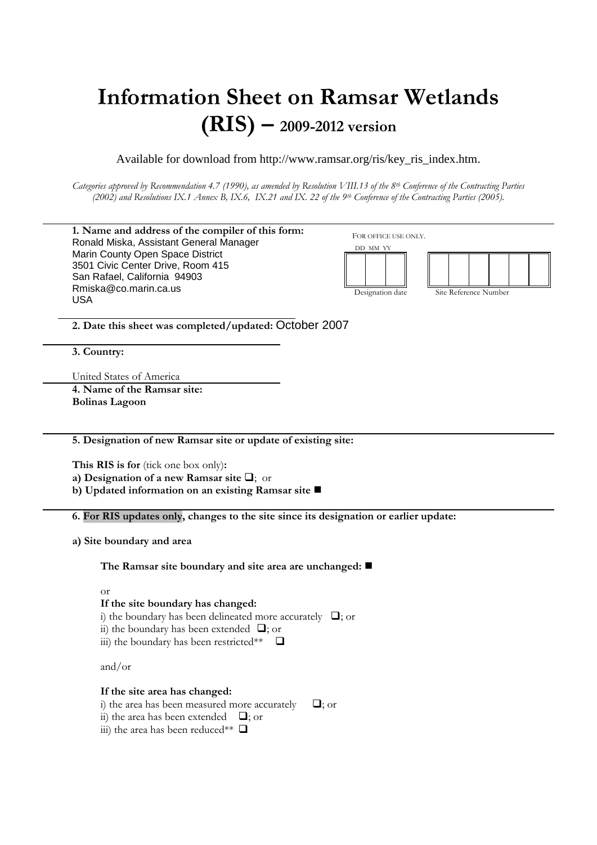# **Information Sheet on Ramsar Wetlands (RIS) – 2009-2012 version**

Available for download from http://www.ramsar.org/ris/key\_ris\_index.htm.

*Categories approved by Recommendation 4.7 (1990), as amended by Resolution VIII.13 of the 8th Conference of the Contracting Parties (2002) and Resolutions IX.1 Annex B, IX.6, IX.21 and IX. 22 of the 9th Conference of the Contracting Parties (2005).*

|                                                               | 1. Name and address of the compiler of this form:                                     | FOR OFFICE USE ONLY. |                       |
|---------------------------------------------------------------|---------------------------------------------------------------------------------------|----------------------|-----------------------|
|                                                               | Ronald Miska, Assistant General Manager                                               | DD MM YY             |                       |
|                                                               | Marin County Open Space District                                                      |                      |                       |
|                                                               | 3501 Civic Center Drive, Room 415                                                     |                      |                       |
|                                                               | San Rafael, California 94903                                                          |                      |                       |
|                                                               | Rmiska@co.marin.ca.us                                                                 | Designation date     | Site Reference Number |
|                                                               | <b>USA</b>                                                                            |                      |                       |
|                                                               |                                                                                       |                      |                       |
|                                                               | 2. Date this sheet was completed/updated: October 2007                                |                      |                       |
|                                                               |                                                                                       |                      |                       |
|                                                               | 3. Country:                                                                           |                      |                       |
|                                                               |                                                                                       |                      |                       |
|                                                               | United States of America                                                              |                      |                       |
|                                                               | 4. Name of the Ramsar site:                                                           |                      |                       |
|                                                               |                                                                                       |                      |                       |
|                                                               | <b>Bolinas Lagoon</b>                                                                 |                      |                       |
|                                                               |                                                                                       |                      |                       |
|                                                               |                                                                                       |                      |                       |
| 5. Designation of new Ramsar site or update of existing site: |                                                                                       |                      |                       |
|                                                               |                                                                                       |                      |                       |
| This RIS is for (tick one box only):                          |                                                                                       |                      |                       |
|                                                               | a) Designation of a new Ramsar site $\Box$ ; or                                       |                      |                       |
|                                                               | b) Updated information on an existing Ramsar site                                     |                      |                       |
|                                                               |                                                                                       |                      |                       |
|                                                               | 6. For RIS updates only, changes to the site since its designation or earlier update: |                      |                       |
|                                                               |                                                                                       |                      |                       |
|                                                               | a) Site boundary and area                                                             |                      |                       |
|                                                               |                                                                                       |                      |                       |
|                                                               | The Ramsar site boundary and site area are unchanged: $\blacksquare$                  |                      |                       |
|                                                               |                                                                                       |                      |                       |
|                                                               | <b>or</b>                                                                             |                      |                       |
|                                                               | If the site boundary has changed:                                                     |                      |                       |
|                                                               | i) the boundary has been delineated more accurately $\Box$ ; or                       |                      |                       |
|                                                               | ii) the boundary has been extended $\Box$ ; or                                        |                      |                       |
|                                                               | iii) the boundary has been restricted** $\Box$                                        |                      |                       |
|                                                               |                                                                                       |                      |                       |
|                                                               | and/or                                                                                |                      |                       |
|                                                               |                                                                                       |                      |                       |
|                                                               |                                                                                       |                      |                       |
|                                                               |                                                                                       |                      |                       |
|                                                               | If the site area has changed:                                                         |                      |                       |
|                                                               | i) the area has been measured more accurately                                         | $\Box$ ; or          |                       |
|                                                               | ii) the area has been extended $\Box$ ; or                                            |                      |                       |
|                                                               | iii) the area has been reduced** $\Box$                                               |                      |                       |
|                                                               |                                                                                       |                      |                       |
|                                                               |                                                                                       |                      |                       |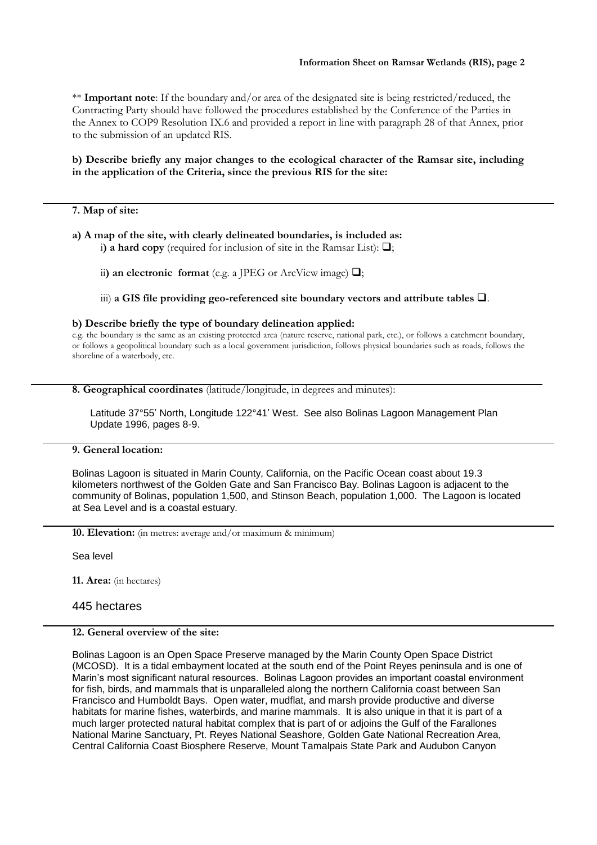\*\* **Important note**: If the boundary and/or area of the designated site is being restricted/reduced, the Contracting Party should have followed the procedures established by the Conference of the Parties in the Annex to COP9 Resolution IX.6 and provided a report in line with paragraph 28 of that Annex, prior to the submission of an updated RIS.

# **b) Describe briefly any major changes to the ecological character of the Ramsar site, including in the application of the Criteria, since the previous RIS for the site:**

### **7. Map of site:**

**a) A map of the site, with clearly delineated boundaries, is included as:**

i) a hard copy (required for inclusion of site in the Ramsar List):  $\Box$ ;

ii) an electronic format (e.g. a JPEG or ArcView image)  $\Box$ ;

iii) a GIS file providing geo-referenced site boundary vectors and attribute tables  $\Box$ .

#### **b) Describe briefly the type of boundary delineation applied:**

e.g. the boundary is the same as an existing protected area (nature reserve, national park, etc.), or follows a catchment boundary, or follows a geopolitical boundary such as a local government jurisdiction, follows physical boundaries such as roads, follows the shoreline of a waterbody, etc.

**8. Geographical coordinates** (latitude/longitude, in degrees and minutes):

Latitude 37°55' North, Longitude 122°41' West. See also Bolinas Lagoon Management Plan Update 1996, pages 8-9.

## **9. General location:**

Bolinas Lagoon is situated in Marin County, California, on the Pacific Ocean coast about 19.3 kilometers northwest of the Golden Gate and San Francisco Bay. Bolinas Lagoon is adjacent to the community of Bolinas, population 1,500, and Stinson Beach, population 1,000. The Lagoon is located at Sea Level and is a coastal estuary.

**10. Elevation:** (in metres: average and/or maximum & minimum)

Sea level

**11. Area:** (in hectares)

# 445 hectares

# **12. General overview of the site:**

Bolinas Lagoon is an Open Space Preserve managed by the Marin County Open Space District (MCOSD). It is a tidal embayment located at the south end of the Point Reyes peninsula and is one of Marin's most significant natural resources. Bolinas Lagoon provides an important coastal environment for fish, birds, and mammals that is unparalleled along the northern California coast between San Francisco and Humboldt Bays. Open water, mudflat, and marsh provide productive and diverse habitats for marine fishes, waterbirds, and marine mammals. It is also unique in that it is part of a much larger protected natural habitat complex that is part of or adjoins the Gulf of the Farallones National Marine Sanctuary, Pt. Reyes National Seashore, Golden Gate National Recreation Area, Central California Coast Biosphere Reserve, Mount Tamalpais State Park and Audubon Canyon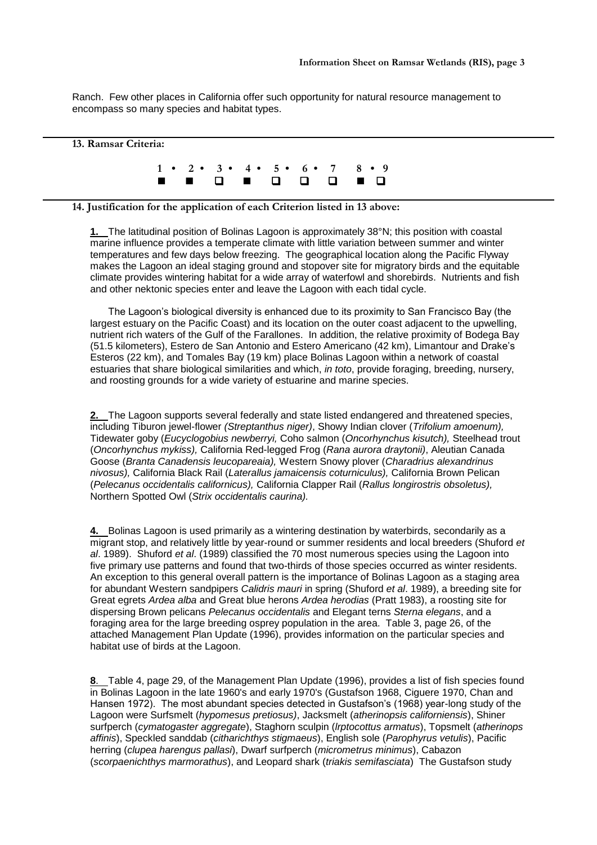Ranch. Few other places in California offer such opportunity for natural resource management to encompass so many species and habitat types.

## **13. Ramsar Criteria:**

**1 • 2 • 3 • 4 • 5 • 6 • 7 8 • 9** 

## **14. Justification for the application of each Criterion listed in 13 above:**

**1.** The latitudinal position of Bolinas Lagoon is approximately 38°N; this position with coastal marine influence provides a temperate climate with little variation between summer and winter temperatures and few days below freezing. The geographical location along the Pacific Flyway makes the Lagoon an ideal staging ground and stopover site for migratory birds and the equitable climate provides wintering habitat for a wide array of waterfowl and shorebirds. Nutrients and fish and other nektonic species enter and leave the Lagoon with each tidal cycle.

The Lagoon's biological diversity is enhanced due to its proximity to San Francisco Bay (the largest estuary on the Pacific Coast) and its location on the outer coast adjacent to the upwelling, nutrient rich waters of the Gulf of the Farallones. In addition, the relative proximity of Bodega Bay (51.5 kilometers), Estero de San Antonio and Estero Americano (42 km), Limantour and Drake's Esteros (22 km), and Tomales Bay (19 km) place Bolinas Lagoon within a network of coastal estuaries that share biological similarities and which, *in toto*, provide foraging, breeding, nursery, and roosting grounds for a wide variety of estuarine and marine species.

**2.** The Lagoon supports several federally and state listed endangered and threatened species, including Tiburon jewel-flower *(Streptanthus niger)*, Showy Indian clover (*Trifolium amoenum),*  Tidewater goby (*Eucyclogobius newberryi,* Coho salmon (*Oncorhynchus kisutch),* Steelhead trout (*Oncorhynchus mykiss),* California Red-legged Frog (*Rana aurora draytonii)*, Aleutian Canada Goose (*Branta Canadensis leucopareaia),* Western Snowy plover (*Charadrius alexandrinus nivosus),* California Black Rail (*Laterallus jamaicensis coturniculus),* California Brown Pelican (*Pelecanus occidentalis californicus),* California Clapper Rail (*Rallus longirostris obsoletus),*  Northern Spotted Owl (*Strix occidentalis caurina).*

**4.** Bolinas Lagoon is used primarily as a wintering destination by waterbirds, secondarily as a migrant stop, and relatively little by year-round or summer residents and local breeders (Shuford *et al*. 1989). Shuford *et al*. (1989) classified the 70 most numerous species using the Lagoon into five primary use patterns and found that two-thirds of those species occurred as winter residents. An exception to this general overall pattern is the importance of Bolinas Lagoon as a staging area for abundant Western sandpipers *Calidris mauri* in spring (Shuford *et al*. 1989), a breeding site for Great egrets *Ardea alba* and Great blue herons *Ardea herodias* (Pratt 1983), a roosting site for dispersing Brown pelicans *Pelecanus occidentalis* and Elegant terns *Sterna elegans*, and a foraging area for the large breeding osprey population in the area. Table 3, page 26, of the attached Management Plan Update (1996), provides information on the particular species and habitat use of birds at the Lagoon.

**8**. Table 4, page 29, of the Management Plan Update (1996), provides a list of fish species found in Bolinas Lagoon in the late 1960's and early 1970's (Gustafson 1968, Ciguere 1970, Chan and Hansen 1972). The most abundant species detected in Gustafson's (1968) year-long study of the Lagoon were Surfsmelt (*hypomesus pretiosus)*, Jacksmelt (*atherinopsis californiensis*), Shiner surfperch (*cymatogaster aggregate*), Staghorn sculpin (*lrptocottus armatus*), Topsmelt (*atherinops affinis*), Speckled sanddab (*citharichthys stigmaeus*), English sole (*Parophyrus vetulis*), Pacific herring (*clupea harengus pallasi*), Dwarf surfperch (*micrometrus minimus*), Cabazon (*scorpaenichthys marmorathus*), and Leopard shark (*triakis semifasciata*) The Gustafson study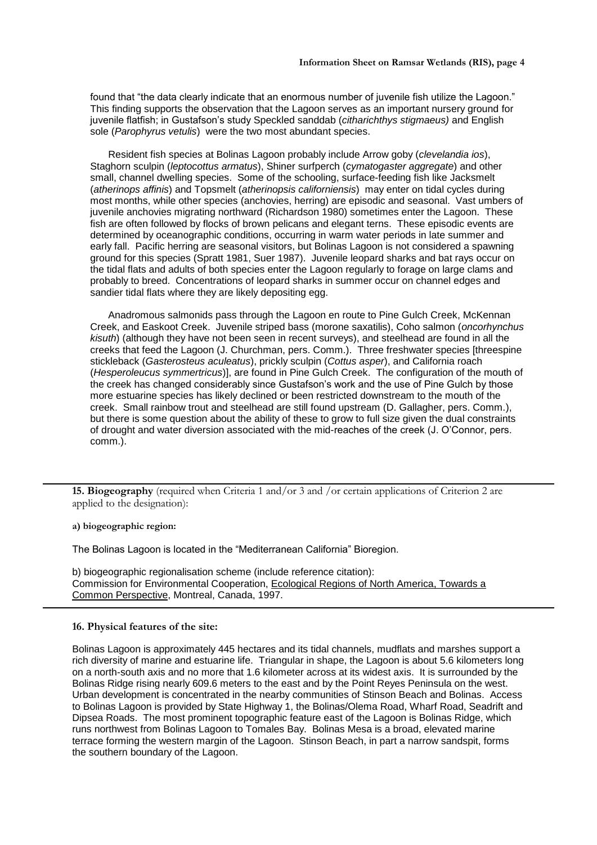found that "the data clearly indicate that an enormous number of juvenile fish utilize the Lagoon." This finding supports the observation that the Lagoon serves as an important nursery ground for juvenile flatfish; in Gustafson's study Speckled sanddab (*citharichthys stigmaeus)* and English sole (*Parophyrus vetulis*) were the two most abundant species.

Resident fish species at Bolinas Lagoon probably include Arrow goby (*clevelandia ios*), Staghorn sculpin (*leptocottus armatus*), Shiner surfperch (*cymatogaster aggregate*) and other small, channel dwelling species. Some of the schooling, surface-feeding fish like Jacksmelt (*atherinops affinis*) and Topsmelt (*atherinopsis californiensis*) may enter on tidal cycles during most months, while other species (anchovies, herring) are episodic and seasonal. Vast umbers of juvenile anchovies migrating northward (Richardson 1980) sometimes enter the Lagoon. These fish are often followed by flocks of brown pelicans and elegant terns. These episodic events are determined by oceanographic conditions, occurring in warm water periods in late summer and early fall. Pacific herring are seasonal visitors, but Bolinas Lagoon is not considered a spawning ground for this species (Spratt 1981, Suer 1987). Juvenile leopard sharks and bat rays occur on the tidal flats and adults of both species enter the Lagoon regularly to forage on large clams and probably to breed. Concentrations of leopard sharks in summer occur on channel edges and sandier tidal flats where they are likely depositing egg.

Anadromous salmonids pass through the Lagoon en route to Pine Gulch Creek, McKennan Creek, and Easkoot Creek. Juvenile striped bass (morone saxatilis), Coho salmon (*oncorhynchus kisuth*) (although they have not been seen in recent surveys), and steelhead are found in all the creeks that feed the Lagoon (J. Churchman, pers. Comm.). Three freshwater species [threespine stickleback (*Gasterosteus aculeatus*), prickly sculpin (*Cottus asper*), and California roach (*Hesperoleucus symmertricus*)], are found in Pine Gulch Creek. The configuration of the mouth of the creek has changed considerably since Gustafson's work and the use of Pine Gulch by those more estuarine species has likely declined or been restricted downstream to the mouth of the creek. Small rainbow trout and steelhead are still found upstream (D. Gallagher, pers. Comm.), but there is some question about the ability of these to grow to full size given the dual constraints of drought and water diversion associated with the mid-reaches of the creek (J. O'Connor, pers. comm.).

**15. Biogeography** (required when Criteria 1 and/or 3 and /or certain applications of Criterion 2 are applied to the designation):

**a) biogeographic region:**

The Bolinas Lagoon is located in the "Mediterranean California" Bioregion.

b) biogeographic regionalisation scheme (include reference citation): Commission for Environmental Cooperation, Ecological Regions of North America, Towards a Common Perspective, Montreal, Canada, 1997.

#### **16. Physical features of the site:**

Bolinas Lagoon is approximately 445 hectares and its tidal channels, mudflats and marshes support a rich diversity of marine and estuarine life. Triangular in shape, the Lagoon is about 5.6 kilometers long on a north-south axis and no more that 1.6 kilometer across at its widest axis. It is surrounded by the Bolinas Ridge rising nearly 609.6 meters to the east and by the Point Reyes Peninsula on the west. Urban development is concentrated in the nearby communities of Stinson Beach and Bolinas. Access to Bolinas Lagoon is provided by State Highway 1, the Bolinas/Olema Road, Wharf Road, Seadrift and Dipsea Roads. The most prominent topographic feature east of the Lagoon is Bolinas Ridge, which runs northwest from Bolinas Lagoon to Tomales Bay. Bolinas Mesa is a broad, elevated marine terrace forming the western margin of the Lagoon. Stinson Beach, in part a narrow sandspit, forms the southern boundary of the Lagoon.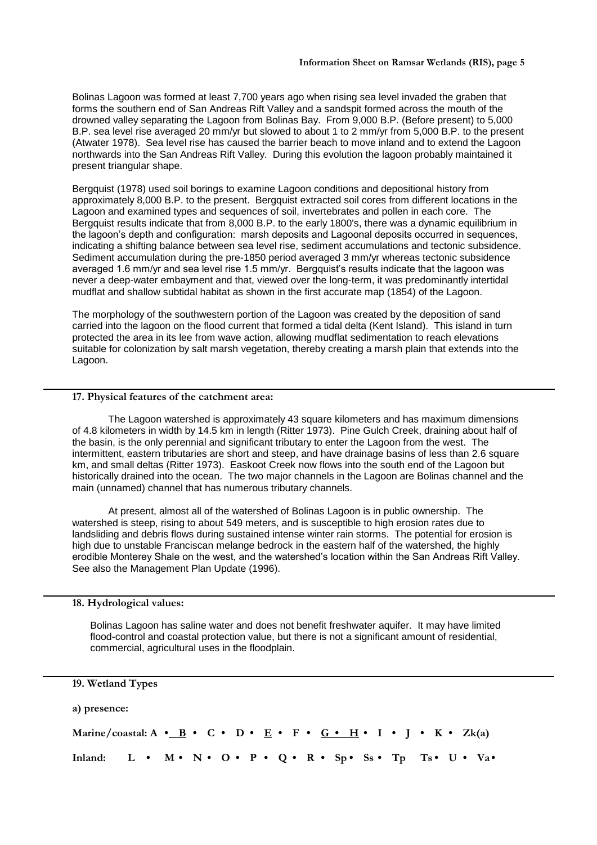Bolinas Lagoon was formed at least 7,700 years ago when rising sea level invaded the graben that forms the southern end of San Andreas Rift Valley and a sandspit formed across the mouth of the drowned valley separating the Lagoon from Bolinas Bay. From 9,000 B.P. (Before present) to 5,000 B.P. sea level rise averaged 20 mm/yr but slowed to about 1 to 2 mm/yr from 5,000 B.P. to the present (Atwater 1978). Sea level rise has caused the barrier beach to move inland and to extend the Lagoon northwards into the San Andreas Rift Valley. During this evolution the lagoon probably maintained it present triangular shape.

Bergquist (1978) used soil borings to examine Lagoon conditions and depositional history from approximately 8,000 B.P. to the present. Bergquist extracted soil cores from different locations in the Lagoon and examined types and sequences of soil, invertebrates and pollen in each core. The Bergquist results indicate that from 8,000 B.P. to the early 1800's, there was a dynamic equilibrium in the lagoon's depth and configuration: marsh deposits and Lagoonal deposits occurred in sequences, indicating a shifting balance between sea level rise, sediment accumulations and tectonic subsidence. Sediment accumulation during the pre-1850 period averaged 3 mm/yr whereas tectonic subsidence averaged 1.6 mm/yr and sea level rise 1.5 mm/yr. Bergquist's results indicate that the lagoon was never a deep-water embayment and that, viewed over the long-term, it was predominantly intertidal mudflat and shallow subtidal habitat as shown in the first accurate map (1854) of the Lagoon.

The morphology of the southwestern portion of the Lagoon was created by the deposition of sand carried into the lagoon on the flood current that formed a tidal delta (Kent Island). This island in turn protected the area in its lee from wave action, allowing mudflat sedimentation to reach elevations suitable for colonization by salt marsh vegetation, thereby creating a marsh plain that extends into the Lagoon.

#### **17. Physical features of the catchment area:**

The Lagoon watershed is approximately 43 square kilometers and has maximum dimensions of 4.8 kilometers in width by 14.5 km in length (Ritter 1973). Pine Gulch Creek, draining about half of the basin, is the only perennial and significant tributary to enter the Lagoon from the west. The intermittent, eastern tributaries are short and steep, and have drainage basins of less than 2.6 square km, and small deltas (Ritter 1973). Easkoot Creek now flows into the south end of the Lagoon but historically drained into the ocean. The two major channels in the Lagoon are Bolinas channel and the main (unnamed) channel that has numerous tributary channels.

At present, almost all of the watershed of Bolinas Lagoon is in public ownership. The watershed is steep, rising to about 549 meters, and is susceptible to high erosion rates due to landsliding and debris flows during sustained intense winter rain storms. The potential for erosion is high due to unstable Franciscan melange bedrock in the eastern half of the watershed, the highly erodible Monterey Shale on the west, and the watershed's location within the San Andreas Rift Valley. See also the Management Plan Update (1996).

**18. Hydrological values:**

Bolinas Lagoon has saline water and does not benefit freshwater aquifer. It may have limited flood-control and coastal protection value, but there is not a significant amount of residential, commercial, agricultural uses in the floodplain.

**19. Wetland Types**

**a) presence:** 

Marine/coastal: A • B • C • D • E • F • G • H • I • J • K • Zk(a) Inland: L • M • N • O • P • Q • R • Sp • Ss • Tp Ts • U • Va •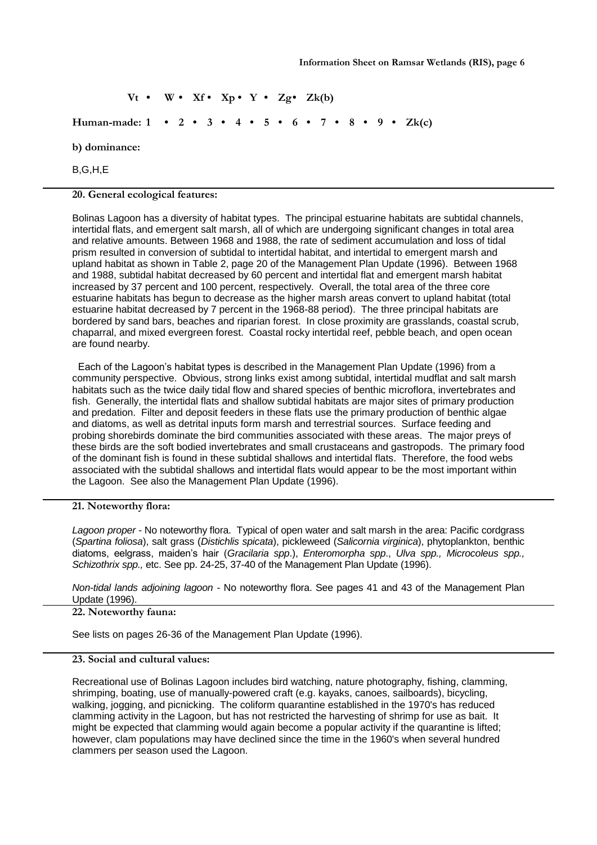$Vt \cdot W \cdot Xf \cdot Xp \cdot Y \cdot Zg \cdot Zk(b)$ **Human-made: 1 • 2 • 3 • 4 • 5 • 6 • 7 • 8 • 9 • Zk(c) b) dominance:**  B,G,H,E

**20. General ecological features:**

Bolinas Lagoon has a diversity of habitat types. The principal estuarine habitats are subtidal channels, intertidal flats, and emergent salt marsh, all of which are undergoing significant changes in total area and relative amounts. Between 1968 and 1988, the rate of sediment accumulation and loss of tidal prism resulted in conversion of subtidal to intertidal habitat, and intertidal to emergent marsh and upland habitat as shown in Table 2, page 20 of the Management Plan Update (1996). Between 1968 and 1988, subtidal habitat decreased by 60 percent and intertidal flat and emergent marsh habitat increased by 37 percent and 100 percent, respectively. Overall, the total area of the three core estuarine habitats has begun to decrease as the higher marsh areas convert to upland habitat (total estuarine habitat decreased by 7 percent in the 1968-88 period). The three principal habitats are bordered by sand bars, beaches and riparian forest. In close proximity are grasslands, coastal scrub, chaparral, and mixed evergreen forest. Coastal rocky intertidal reef, pebble beach, and open ocean are found nearby.

Each of the Lagoon's habitat types is described in the Management Plan Update (1996) from a community perspective. Obvious, strong links exist among subtidal, intertidal mudflat and salt marsh habitats such as the twice daily tidal flow and shared species of benthic microflora, invertebrates and fish. Generally, the intertidal flats and shallow subtidal habitats are major sites of primary production and predation. Filter and deposit feeders in these flats use the primary production of benthic algae and diatoms, as well as detrital inputs form marsh and terrestrial sources. Surface feeding and probing shorebirds dominate the bird communities associated with these areas. The major preys of these birds are the soft bodied invertebrates and small crustaceans and gastropods. The primary food of the dominant fish is found in these subtidal shallows and intertidal flats. Therefore, the food webs associated with the subtidal shallows and intertidal flats would appear to be the most important within the Lagoon. See also the Management Plan Update (1996).

#### **21. Noteworthy flora:**

*Lagoon proper -* No noteworthy flora. Typical of open water and salt marsh in the area: Pacific cordgrass (*Spartina foliosa*), salt grass (*Distichlis spicata*), pickleweed (*Salicornia virginica*), phytoplankton, benthic diatoms, eelgrass, maiden's hair (*Gracilaria spp*.), *Enteromorpha spp*., *Ulva spp., Microcoleus spp., Schizothrix spp.,* etc. See pp. 24-25, 37-40 of the Management Plan Update (1996).

*Non-tidal lands adjoining lagoon -* No noteworthy flora. See pages 41 and 43 of the Management Plan Update (1996).

# **22. Noteworthy fauna:**

See lists on pages 26-36 of the Management Plan Update (1996).

## **23. Social and cultural values:**

Recreational use of Bolinas Lagoon includes bird watching, nature photography, fishing, clamming, shrimping, boating, use of manually-powered craft (e.g. kayaks, canoes, sailboards), bicycling, walking, jogging, and picnicking. The coliform quarantine established in the 1970's has reduced clamming activity in the Lagoon, but has not restricted the harvesting of shrimp for use as bait. It might be expected that clamming would again become a popular activity if the quarantine is lifted; however, clam populations may have declined since the time in the 1960's when several hundred clammers per season used the Lagoon.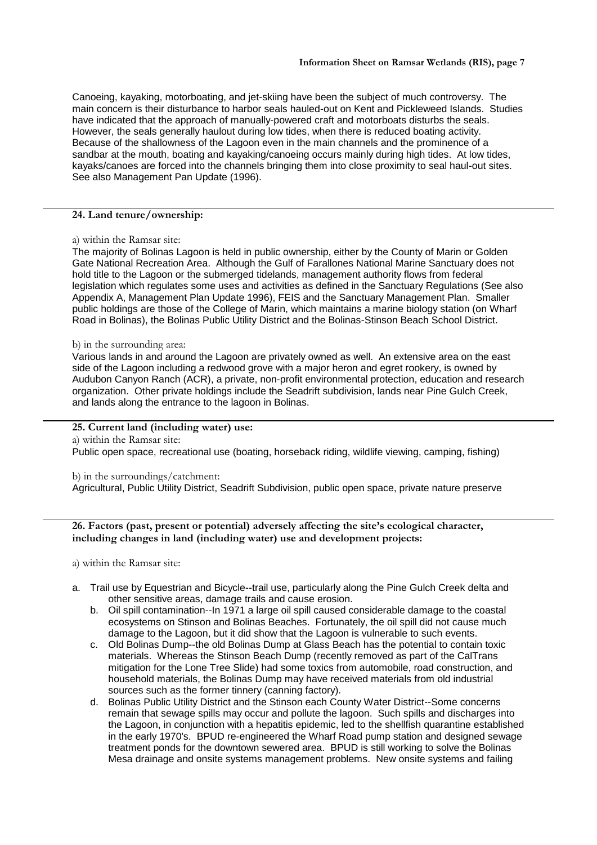Canoeing, kayaking, motorboating, and jet-skiing have been the subject of much controversy. The main concern is their disturbance to harbor seals hauled-out on Kent and Pickleweed Islands. Studies have indicated that the approach of manually-powered craft and motorboats disturbs the seals. However, the seals generally haulout during low tides, when there is reduced boating activity. Because of the shallowness of the Lagoon even in the main channels and the prominence of a sandbar at the mouth, boating and kayaking/canoeing occurs mainly during high tides. At low tides, kayaks/canoes are forced into the channels bringing them into close proximity to seal haul-out sites. See also Management Pan Update (1996).

# **24. Land tenure/ownership:**

## a) within the Ramsar site:

The majority of Bolinas Lagoon is held in public ownership, either by the County of Marin or Golden Gate National Recreation Area. Although the Gulf of Farallones National Marine Sanctuary does not hold title to the Lagoon or the submerged tidelands, management authority flows from federal legislation which regulates some uses and activities as defined in the Sanctuary Regulations (See also Appendix A, Management Plan Update 1996), FEIS and the Sanctuary Management Plan. Smaller public holdings are those of the College of Marin, which maintains a marine biology station (on Wharf Road in Bolinas), the Bolinas Public Utility District and the Bolinas-Stinson Beach School District.

#### b) in the surrounding area:

Various lands in and around the Lagoon are privately owned as well. An extensive area on the east side of the Lagoon including a redwood grove with a major heron and egret rookery, is owned by Audubon Canyon Ranch (ACR), a private, non-profit environmental protection, education and research organization. Other private holdings include the Seadrift subdivision, lands near Pine Gulch Creek, and lands along the entrance to the lagoon in Bolinas.

## **25. Current land (including water) use:**

a) within the Ramsar site:

Public open space, recreational use (boating, horseback riding, wildlife viewing, camping, fishing)

#### b) in the surroundings/catchment:

Agricultural, Public Utility District, Seadrift Subdivision, public open space, private nature preserve

**26. Factors (past, present or potential) adversely affecting the site's ecological character, including changes in land (including water) use and development projects:**

a) within the Ramsar site:

- a. Trail use by Equestrian and Bicycle--trail use, particularly along the Pine Gulch Creek delta and other sensitive areas, damage trails and cause erosion.
	- b. Oil spill contamination--In 1971 a large oil spill caused considerable damage to the coastal ecosystems on Stinson and Bolinas Beaches. Fortunately, the oil spill did not cause much damage to the Lagoon, but it did show that the Lagoon is vulnerable to such events.
	- c. Old Bolinas Dump--the old Bolinas Dump at Glass Beach has the potential to contain toxic materials. Whereas the Stinson Beach Dump (recently removed as part of the CalTrans mitigation for the Lone Tree Slide) had some toxics from automobile, road construction, and household materials, the Bolinas Dump may have received materials from old industrial sources such as the former tinnery (canning factory).
	- d. Bolinas Public Utility District and the Stinson each County Water District--Some concerns remain that sewage spills may occur and pollute the lagoon. Such spills and discharges into the Lagoon, in conjunction with a hepatitis epidemic, led to the shellfish quarantine established in the early 1970's. BPUD re-engineered the Wharf Road pump station and designed sewage treatment ponds for the downtown sewered area. BPUD is still working to solve the Bolinas Mesa drainage and onsite systems management problems. New onsite systems and failing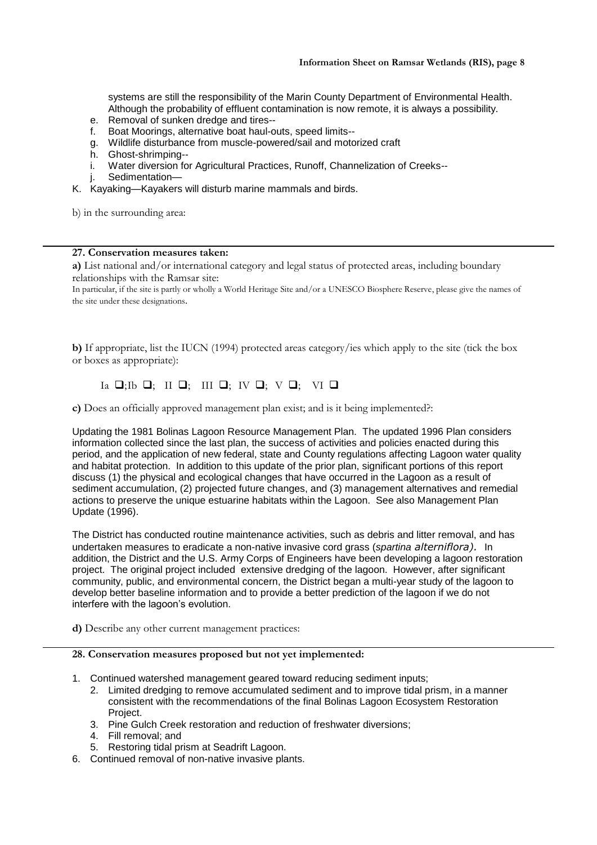systems are still the responsibility of the Marin County Department of Environmental Health. Although the probability of effluent contamination is now remote, it is always a possibility.

- e. Removal of sunken dredge and tires--
- f. Boat Moorings, alternative boat haul-outs, speed limits--
- g. Wildlife disturbance from muscle-powered/sail and motorized craft
- h. Ghost-shrimping--
- i. Water diversion for Agricultural Practices, Runoff, Channelization of Creeks--
- Sedimentation—
- K. Kayaking—Kayakers will disturb marine mammals and birds.

b) in the surrounding area:

### **27. Conservation measures taken:**

**a)** List national and/or international category and legal status of protected areas, including boundary relationships with the Ramsar site:

In particular, if the site is partly or wholly a World Heritage Site and/or a UNESCO Biosphere Reserve, please give the names of the site under these designations.

**b)** If appropriate, list the IUCN (1994) protected areas category/ies which apply to the site (tick the box or boxes as appropriate):

# Ia  $\Box$ ;Ib  $\Box$ ; III  $\Box$ ; IV  $\Box$ ; V  $\Box$ ; VI  $\Box$

**c)** Does an officially approved management plan exist; and is it being implemented?:

Updating the 1981 Bolinas Lagoon Resource Management Plan. The updated 1996 Plan considers information collected since the last plan, the success of activities and policies enacted during this period, and the application of new federal, state and County regulations affecting Lagoon water quality and habitat protection. In addition to this update of the prior plan, significant portions of this report discuss (1) the physical and ecological changes that have occurred in the Lagoon as a result of sediment accumulation, (2) projected future changes, and (3) management alternatives and remedial actions to preserve the unique estuarine habitats within the Lagoon. See also Management Plan Update (1996).

The District has conducted routine maintenance activities, such as debris and litter removal, and has undertaken measures to eradicate a non-native invasive cord grass (*spartina alterniflora).* In addition, the District and the U.S. Army Corps of Engineers have been developing a lagoon restoration project. The original project included extensive dredging of the lagoon. However, after significant community, public, and environmental concern, the District began a multi-year study of the lagoon to develop better baseline information and to provide a better prediction of the lagoon if we do not interfere with the lagoon's evolution.

**d)** Describe any other current management practices:

## **28. Conservation measures proposed but not yet implemented:**

- 1. Continued watershed management geared toward reducing sediment inputs;
	- 2. Limited dredging to remove accumulated sediment and to improve tidal prism, in a manner consistent with the recommendations of the final Bolinas Lagoon Ecosystem Restoration Project.
	- 3. Pine Gulch Creek restoration and reduction of freshwater diversions;
	- 4. Fill removal; and
	- 5. Restoring tidal prism at Seadrift Lagoon.
- 6. Continued removal of non-native invasive plants.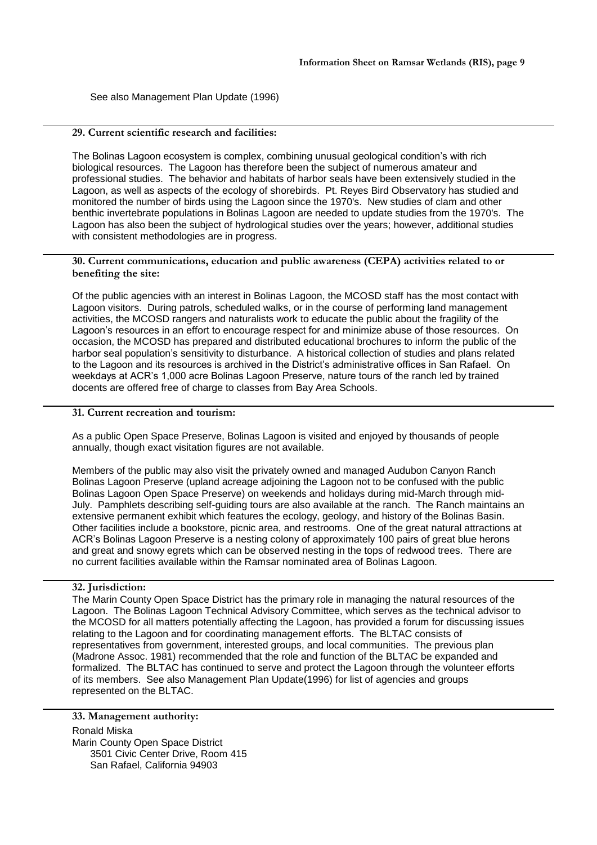See also Management Plan Update (1996)

# **29. Current scientific research and facilities:**

The Bolinas Lagoon ecosystem is complex, combining unusual geological condition's with rich biological resources. The Lagoon has therefore been the subject of numerous amateur and professional studies. The behavior and habitats of harbor seals have been extensively studied in the Lagoon, as well as aspects of the ecology of shorebirds. Pt. Reyes Bird Observatory has studied and monitored the number of birds using the Lagoon since the 1970's. New studies of clam and other benthic invertebrate populations in Bolinas Lagoon are needed to update studies from the 1970's. The Lagoon has also been the subject of hydrological studies over the years; however, additional studies with consistent methodologies are in progress.

**30. Current communications, education and public awareness (CEPA) activities related to or benefiting the site:** 

Of the public agencies with an interest in Bolinas Lagoon, the MCOSD staff has the most contact with Lagoon visitors. During patrols, scheduled walks, or in the course of performing land management activities, the MCOSD rangers and naturalists work to educate the public about the fragility of the Lagoon's resources in an effort to encourage respect for and minimize abuse of those resources. On occasion, the MCOSD has prepared and distributed educational brochures to inform the public of the harbor seal population's sensitivity to disturbance. A historical collection of studies and plans related to the Lagoon and its resources is archived in the District's administrative offices in San Rafael. On weekdays at ACR's 1,000 acre Bolinas Lagoon Preserve, nature tours of the ranch led by trained docents are offered free of charge to classes from Bay Area Schools.

# **31. Current recreation and tourism:**

As a public Open Space Preserve, Bolinas Lagoon is visited and enjoyed by thousands of people annually, though exact visitation figures are not available.

Members of the public may also visit the privately owned and managed Audubon Canyon Ranch Bolinas Lagoon Preserve (upland acreage adjoining the Lagoon not to be confused with the public Bolinas Lagoon Open Space Preserve) on weekends and holidays during mid-March through mid-July. Pamphlets describing self-guiding tours are also available at the ranch. The Ranch maintains an extensive permanent exhibit which features the ecology, geology, and history of the Bolinas Basin. Other facilities include a bookstore, picnic area, and restrooms. One of the great natural attractions at ACR's Bolinas Lagoon Preserve is a nesting colony of approximately 100 pairs of great blue herons and great and snowy egrets which can be observed nesting in the tops of redwood trees. There are no current facilities available within the Ramsar nominated area of Bolinas Lagoon.

# **32. Jurisdiction:**

The Marin County Open Space District has the primary role in managing the natural resources of the Lagoon. The Bolinas Lagoon Technical Advisory Committee, which serves as the technical advisor to the MCOSD for all matters potentially affecting the Lagoon, has provided a forum for discussing issues relating to the Lagoon and for coordinating management efforts. The BLTAC consists of representatives from government, interested groups, and local communities. The previous plan (Madrone Assoc. 1981) recommended that the role and function of the BLTAC be expanded and formalized. The BLTAC has continued to serve and protect the Lagoon through the volunteer efforts of its members. See also Management Plan Update(1996) for list of agencies and groups represented on the BLTAC.

**33. Management authority:** Ronald Miska Marin County Open Space District 3501 Civic Center Drive, Room 415 San Rafael, California 94903